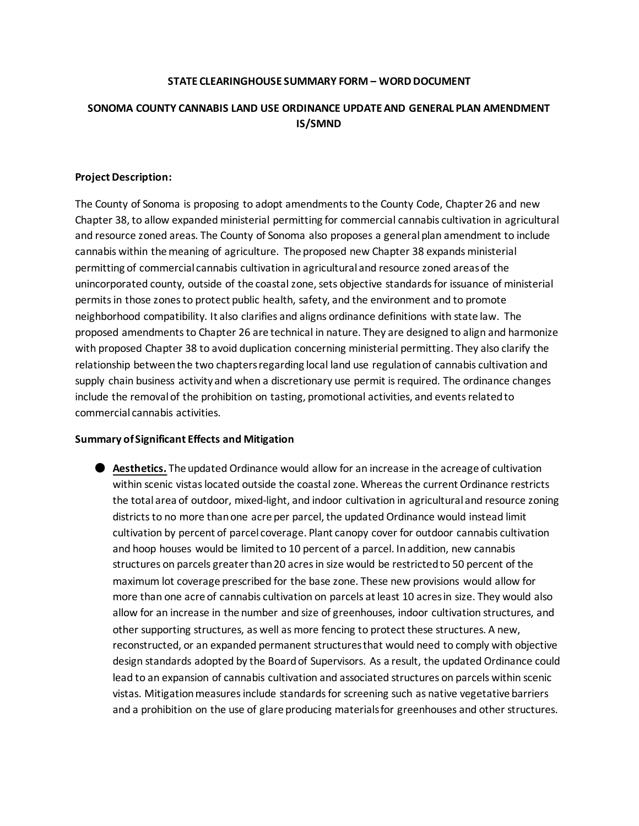## **STATE CLEARINGHOUSE SUMMARY FORM – WORD DOCUMENT**

# **SONOMA COUNTY CANNABIS LAND USE ORDINANCE UPDATE AND GENERAL PLAN AMENDMENT IS/SMND**

#### **Project Description:**

The County of Sonoma is proposing to adopt amendments to the County Code, Chapter 26 and new Chapter 38, to allow expanded ministerial permitting for commercial cannabis cultivation in agricultural and resource zoned areas. The County of Sonoma also proposes a general plan amendment to include cannabis within the meaning of agriculture. The proposed new Chapter 38 expands ministerial permitting of commercial cannabis cultivation in agricultural and resource zoned areas of the unincorporated county, outside of the coastal zone, sets objective standards for issuance of ministerial permits in those zones to protect public health, safety, and the environment and to promote neighborhood compatibility. It also clarifies and aligns ordinance definitions with state law. The proposed amendments to Chapter 26 are technical in nature. They are designed to align and harmonize with proposed Chapter 38 to avoid duplication concerning ministerial permitting. They also clarify the relationship between the two chapters regarding local land use regulation of cannabis cultivation and supply chain business activity and when a discretionary use permit is required. The ordinance changes include the removal of the prohibition on tasting, promotional activities, and events related to commercial cannabis activities.

## **Summary of Significant Effects and Mitigation**

● **Aesthetics.** The updated Ordinance would allow for an increase in the acreage of cultivation within scenic vistas located outside the coastal zone. Whereas the current Ordinance restricts the total area of outdoor, mixed-light, and indoor cultivation in agricultural and resource zoning districts to no more than one acre per parcel, the updated Ordinance would instead limit cultivation by percent of parcel coverage. Plant canopy cover for outdoor cannabis cultivation and hoop houses would be limited to 10 percent of a parcel. In addition, new cannabis structures on parcels greater than 20 acres in size would be restricted to 50 percent of the maximum lot coverage prescribed for the base zone. These new provisions would allow for more than one acre of cannabis cultivation on parcels at least 10 acres in size. They would also allow for an increase in the number and size of greenhouses, indoor cultivation structures, and other supporting structures, as well as more fencing to protect these structures. A new, reconstructed, or an expanded permanent structures that would need to comply with objective design standards adopted by the Board of Supervisors. As a result, the updated Ordinance could lead to an expansion of cannabis cultivation and associated structures on parcels within scenic vistas. Mitigation measures include standards for screening such as native vegetative barriers and a prohibition on the use of glare producing materials for greenhouses and other structures.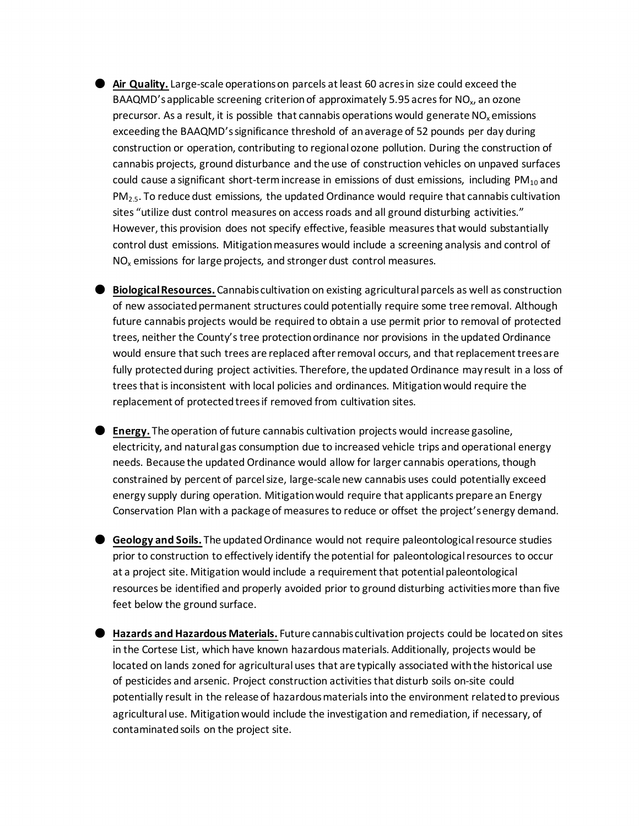- **Air Quality.** Large-scale operations on parcels at least 60 acres in size could exceed the BAAQMD's applicable screening criterion of approximately 5.95 acres for NO<sub>x</sub>, an ozone precursor. As a result, it is possible that cannabis operations would generate  $NO<sub>x</sub>$  emissions exceeding the BAAQMD's significance threshold of an average of 52 pounds per day during construction or operation, contributing to regional ozone pollution. During the construction of cannabis projects, ground disturbance and the use of construction vehicles on unpaved surfaces could cause a significant short-term increase in emissions of dust emissions, including  $PM_{10}$  and  $PM<sub>2.5</sub>$ . To reduce dust emissions, the updated Ordinance would require that cannabis cultivation sites "utilize dust control measures on access roads and all ground disturbing activities." However, this provision does not specify effective, feasible measures that would substantially control dust emissions. Mitigation measures would include a screening analysis and control of  $NO<sub>x</sub>$  emissions for large projects, and stronger dust control measures.
- **Biological Resources.** Cannabis cultivation on existing agricultural parcels as well as construction of new associated permanent structures could potentially require some tree removal. Although future cannabis projects would be required to obtain a use permit prior to removal of protected trees, neither the County's tree protection ordinance nor provisions in the updated Ordinance would ensure that such trees are replaced after removal occurs, and that replacement trees are fully protected during project activities. Therefore, the updated Ordinance may result in a loss of trees that is inconsistent with local policies and ordinances. Mitigation would require the replacement of protected trees if removed from cultivation sites.
- **Energy.** The operation of future cannabis cultivation projects would increase gasoline, electricity, and natural gas consumption due to increased vehicle trips and operational energy needs. Because the updated Ordinance would allow for larger cannabis operations, though constrained by percent of parcel size, large-scale new cannabis uses could potentially exceed energy supply during operation. Mitigation would require that applicants prepare an Energy Conservation Plan with a package of measures to reduce or offset the project's energy demand.
- **Geology and Soils.** The updated Ordinance would not require paleontological resource studies prior to construction to effectively identify the potential for paleontological resources to occur at a project site. Mitigation would include a requirement that potential paleontological resources be identified and properly avoided prior to ground disturbing activities more than five feet below the ground surface.
- **Hazards and Hazardous Materials.** Future cannabis cultivation projects could be located on sites in the Cortese List, which have known hazardous materials. Additionally, projects would be located on lands zoned for agricultural uses that are typically associated with the historical use of pesticides and arsenic. Project construction activities that disturb soils on-site could potentially result in the release of hazardous materials into the environment related to previous agricultural use. Mitigation would include the investigation and remediation, if necessary, of contaminated soils on the project site.